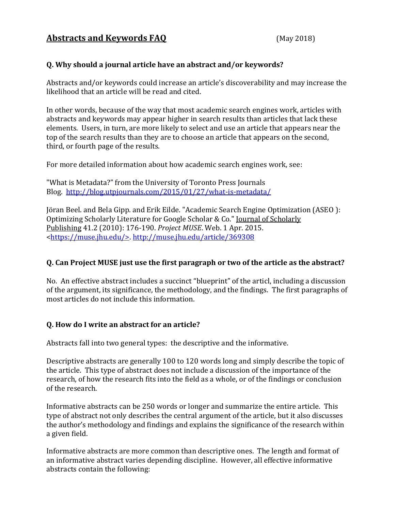### **Q. Why should a journal article have an abstract and/or keywords?**

Abstracts and/or keywords could increase an article's discoverability and may increase the likelihood that an article will be read and cited.

In other words, because of the way that most academic search engines work, articles with abstracts and keywords may appear higher in search results than articles that lack these elements. Users, in turn, are more likely to select and use an article that appears near the top of the search results than they are to choose an article that appears on the second, third, or fourth page of the results.

For more detailed information about how academic search engines work, see:

"What is Metadata?" from the University of Toronto Press Journals Blog. <http://blog.utpjournals.com/2015/01/27/what-is-metadata/>

Jöran Beel. and Bela Gipp. and Erik Eilde. "Academic Search Engine Optimization (ASEO ): Optimizing Scholarly Literature for Google Scholar & Co." Journal of Scholarly Publishing 41.2 (2010): 176-190. *Project MUSE*. Web. 1 Apr. 2015. [<https://muse.jhu.edu/>.](https://muse.jhu.edu/%3E)<http://muse.jhu.edu/article/369308>

# **Q. Can Project MUSE just use the first paragraph or two of the article as the abstract?**

No. An effective abstract includes a succinct "blueprint" of the articl, including a discussion of the argument, its significance, the methodology, and the findings. The first paragraphs of most articles do not include this information.

# **Q. How do I write an abstract for an article?**

Abstracts fall into two general types: the descriptive and the informative.

Descriptive abstracts are generally 100 to 120 words long and simply describe the topic of the article. This type of abstract does not include a discussion of the importance of the research, of how the research fits into the field as a whole, or of the findings or conclusion of the research.

Informative abstracts can be 250 words or longer and summarize the entire article. This type of abstract not only describes the central argument of the article, but it also discusses the author's methodology and findings and explains the significance of the research within a given field.

Informative abstracts are more common than descriptive ones. The length and format of an informative abstract varies depending discipline. However, all effective informative abstracts contain the following: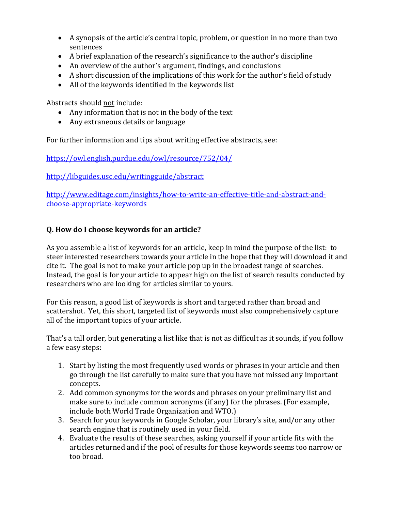- A synopsis of the article's central topic, problem, or question in no more than two sentences
- A brief explanation of the research's significance to the author's discipline
- An overview of the author's argument, findings, and conclusions
- A short discussion of the implications of this work for the author's field of study
- All of the keywords identified in the keywords list

Abstracts should not include:

- Any information that is not in the body of the text
- Any extraneous details or language

For further information and tips about writing effective abstracts, see:

<https://owl.english.purdue.edu/owl/resource/752/04/>

<http://libguides.usc.edu/writingguide/abstract>

[http://www.editage.com/insights/how-to-write-an-effective-title-and-abstract-and](http://www.editage.com/insights/how-to-write-an-effective-title-and-abstract-and-choose-appropriate-keywords)[choose-appropriate-keywords](http://www.editage.com/insights/how-to-write-an-effective-title-and-abstract-and-choose-appropriate-keywords)

### **Q. How do I choose keywords for an article?**

As you assemble a list of keywords for an article, keep in mind the purpose of the list: to steer interested researchers towards your article in the hope that they will download it and cite it. The goal is not to make your article pop up in the broadest range of searches. Instead, the goal is for your article to appear high on the list of search results conducted by researchers who are looking for articles similar to yours.

For this reason, a good list of keywords is short and targeted rather than broad and scattershot. Yet, this short, targeted list of keywords must also comprehensively capture all of the important topics of your article.

That's a tall order, but generating a list like that is not as difficult as it sounds, if you follow a few easy steps:

- 1. Start by listing the most frequently used words or phrases in your article and then go through the list carefully to make sure that you have not missed any important concepts.
- 2. Add common synonyms for the words and phrases on your preliminary list and make sure to include common acronyms (if any) for the phrases. (For example, include both World Trade Organization and WTO.)
- 3. Search for your keywords in Google Scholar, your library's site, and/or any other search engine that is routinely used in your field.
- 4. Evaluate the results of these searches, asking yourself if your article fits with the articles returned and if the pool of results for those keywords seems too narrow or too broad.